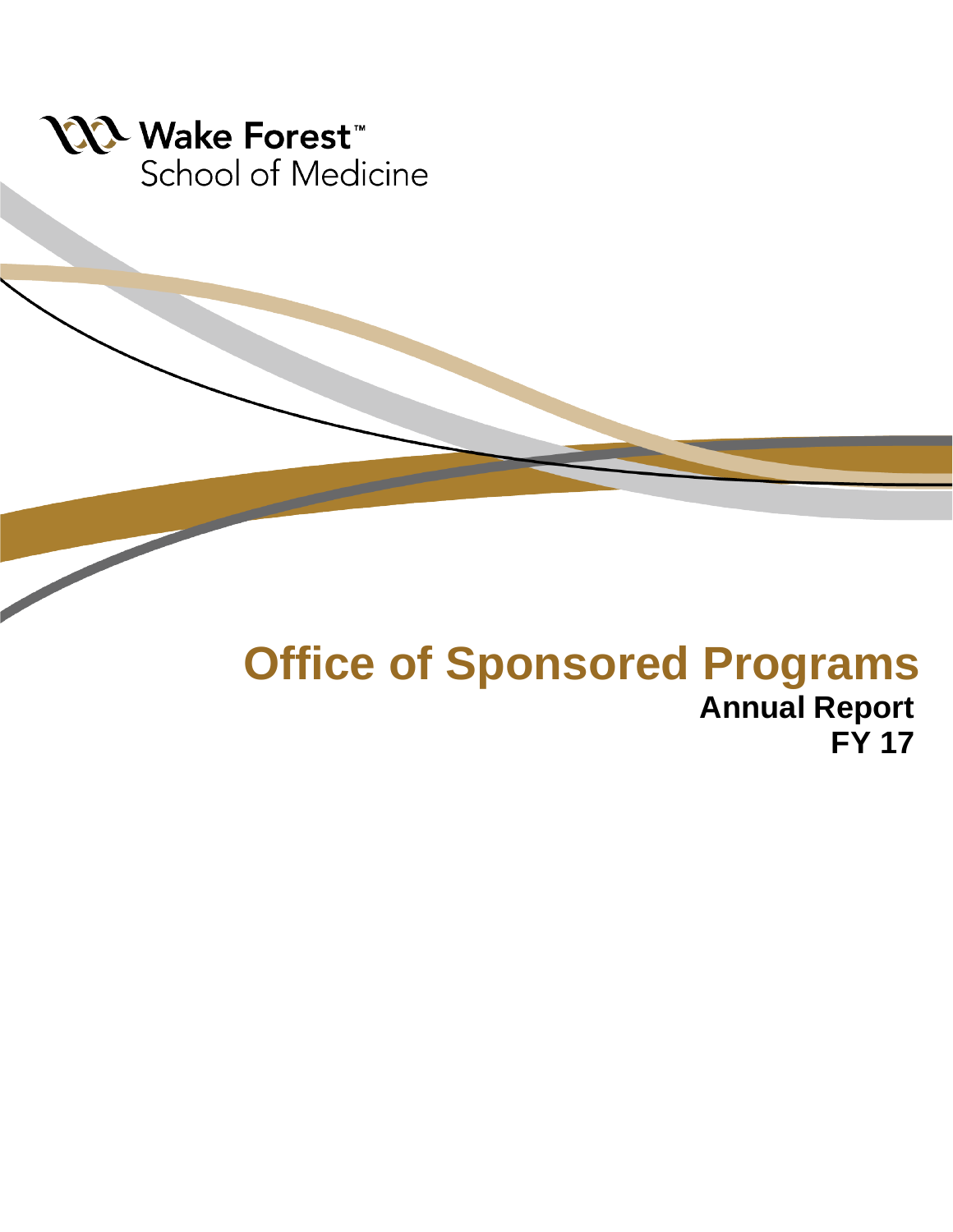

## **Office of Sponsored Programs Annual Report FY 17**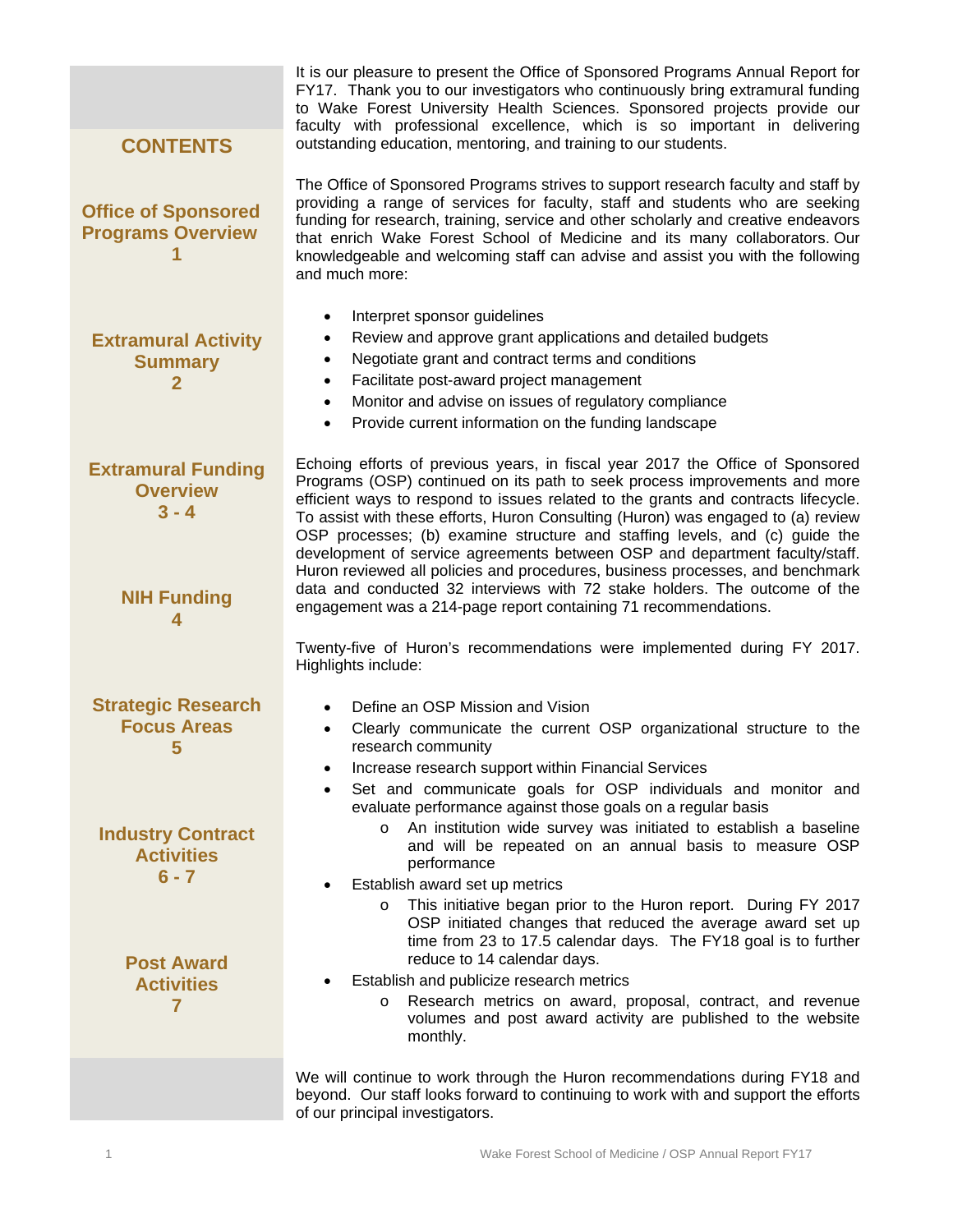|                                                                               | It is our pleasure to present the Office of Sponsored Programs Annual Report for<br>FY17. Thank you to our investigators who continuously bring extramural funding<br>to Wake Forest University Health Sciences. Sponsored projects provide our<br>faculty with professional excellence, which is so important in delivering                                                                                                                                                                                                                                                                                                                                        |
|-------------------------------------------------------------------------------|---------------------------------------------------------------------------------------------------------------------------------------------------------------------------------------------------------------------------------------------------------------------------------------------------------------------------------------------------------------------------------------------------------------------------------------------------------------------------------------------------------------------------------------------------------------------------------------------------------------------------------------------------------------------|
| <b>CONTENTS</b>                                                               | outstanding education, mentoring, and training to our students.                                                                                                                                                                                                                                                                                                                                                                                                                                                                                                                                                                                                     |
| <b>Office of Sponsored</b><br><b>Programs Overview</b>                        | The Office of Sponsored Programs strives to support research faculty and staff by<br>providing a range of services for faculty, staff and students who are seeking<br>funding for research, training, service and other scholarly and creative endeavors<br>that enrich Wake Forest School of Medicine and its many collaborators. Our<br>knowledgeable and welcoming staff can advise and assist you with the following<br>and much more:                                                                                                                                                                                                                          |
| <b>Extramural Activity</b><br><b>Summary</b><br>$\overline{2}$                | Interpret sponsor guidelines<br>$\bullet$<br>Review and approve grant applications and detailed budgets<br>$\bullet$<br>Negotiate grant and contract terms and conditions<br>$\bullet$<br>Facilitate post-award project management<br>$\bullet$<br>Monitor and advise on issues of regulatory compliance<br>$\bullet$<br>Provide current information on the funding landscape<br>$\bullet$                                                                                                                                                                                                                                                                          |
| <b>Extramural Funding</b><br><b>Overview</b><br>$3 - 4$<br><b>NIH Funding</b> | Echoing efforts of previous years, in fiscal year 2017 the Office of Sponsored<br>Programs (OSP) continued on its path to seek process improvements and more<br>efficient ways to respond to issues related to the grants and contracts lifecycle.<br>To assist with these efforts, Huron Consulting (Huron) was engaged to (a) review<br>OSP processes; (b) examine structure and staffing levels, and (c) guide the<br>development of service agreements between OSP and department faculty/staff.<br>Huron reviewed all policies and procedures, business processes, and benchmark<br>data and conducted 32 interviews with 72 stake holders. The outcome of the |
|                                                                               | engagement was a 214-page report containing 71 recommendations.                                                                                                                                                                                                                                                                                                                                                                                                                                                                                                                                                                                                     |
|                                                                               | Twenty-five of Huron's recommendations were implemented during FY 2017.<br>Highlights include:                                                                                                                                                                                                                                                                                                                                                                                                                                                                                                                                                                      |
| <b>Strategic Research</b><br><b>Focus Areas</b><br>5                          | Define an OSP Mission and Vision<br>Clearly communicate the current OSP organizational structure to the<br>research community<br>Increase research support within Financial Services                                                                                                                                                                                                                                                                                                                                                                                                                                                                                |
|                                                                               | Set and communicate goals for OSP individuals and monitor and<br>evaluate performance against those goals on a regular basis                                                                                                                                                                                                                                                                                                                                                                                                                                                                                                                                        |
| <b>Industry Contract</b><br><b>Activities</b><br>$6 - 7$                      | An institution wide survey was initiated to establish a baseline<br>$\circ$<br>and will be repeated on an annual basis to measure OSP<br>performance                                                                                                                                                                                                                                                                                                                                                                                                                                                                                                                |
| <b>Post Award</b>                                                             | Establish award set up metrics<br>This initiative began prior to the Huron report. During FY 2017<br>$\circ$<br>OSP initiated changes that reduced the average award set up<br>time from 23 to 17.5 calendar days. The FY18 goal is to further<br>reduce to 14 calendar days.                                                                                                                                                                                                                                                                                                                                                                                       |
| <b>Activities</b><br>$\overline{7}$                                           | Establish and publicize research metrics<br>Research metrics on award, proposal, contract, and revenue<br>$\circ$<br>volumes and post award activity are published to the website<br>monthly.                                                                                                                                                                                                                                                                                                                                                                                                                                                                       |
|                                                                               | We will continue to work through the Huron recommendations during FY18 and<br>beyond. Our staff looks forward to continuing to work with and support the efforts<br>of our principal investigators.                                                                                                                                                                                                                                                                                                                                                                                                                                                                 |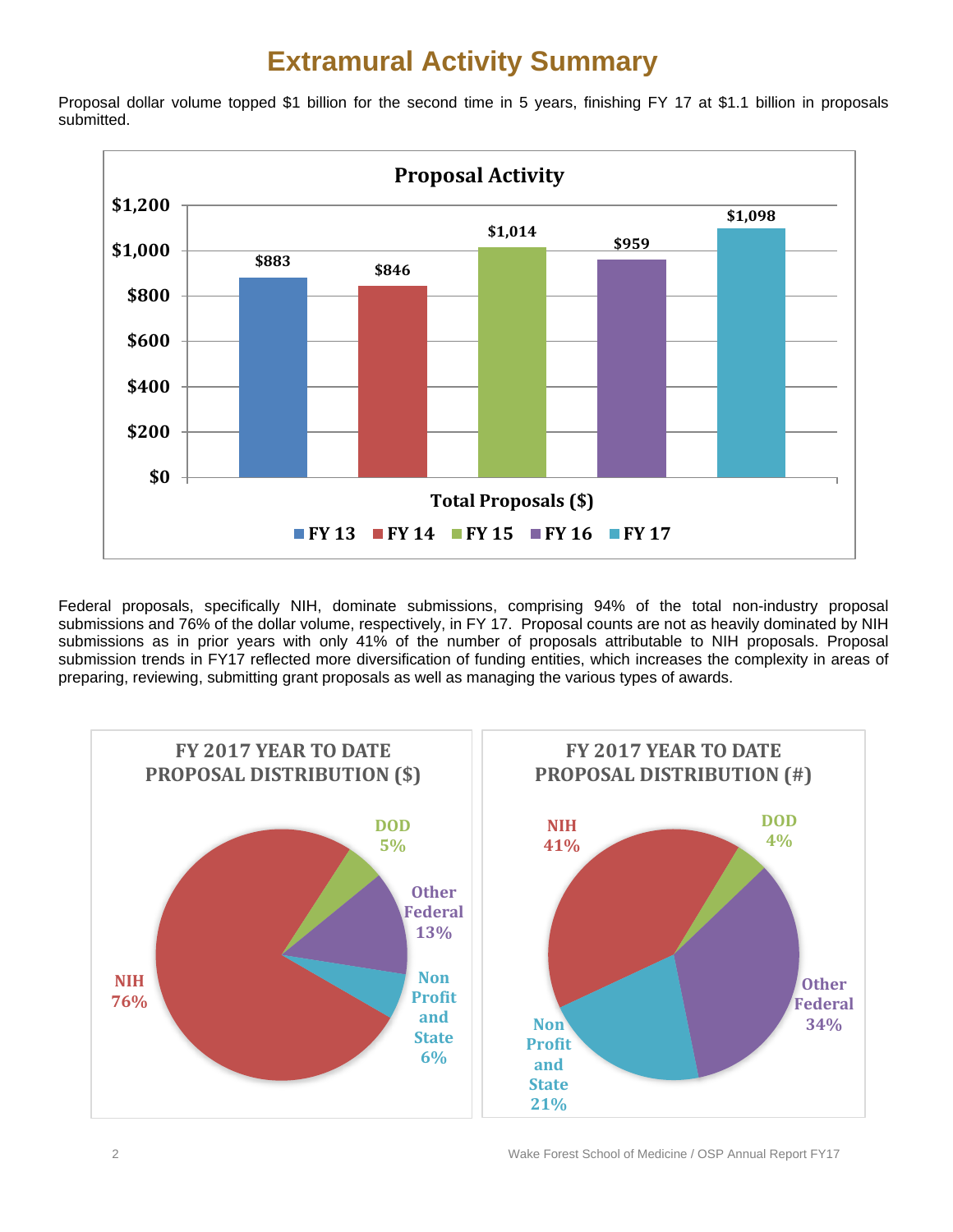### **Extramural Activity Summary**

Proposal dollar volume topped \$1 billion for the second time in 5 years, finishing FY 17 at \$1.1 billion in proposals submitted.



Federal proposals, specifically NIH, dominate submissions, comprising 94% of the total non-industry proposal submissions and 76% of the dollar volume, respectively, in FY 17. Proposal counts are not as heavily dominated by NIH submissions as in prior years with only 41% of the number of proposals attributable to NIH proposals. Proposal submission trends in FY17 reflected more diversification of funding entities, which increases the complexity in areas of preparing, reviewing, submitting grant proposals as well as managing the various types of awards.

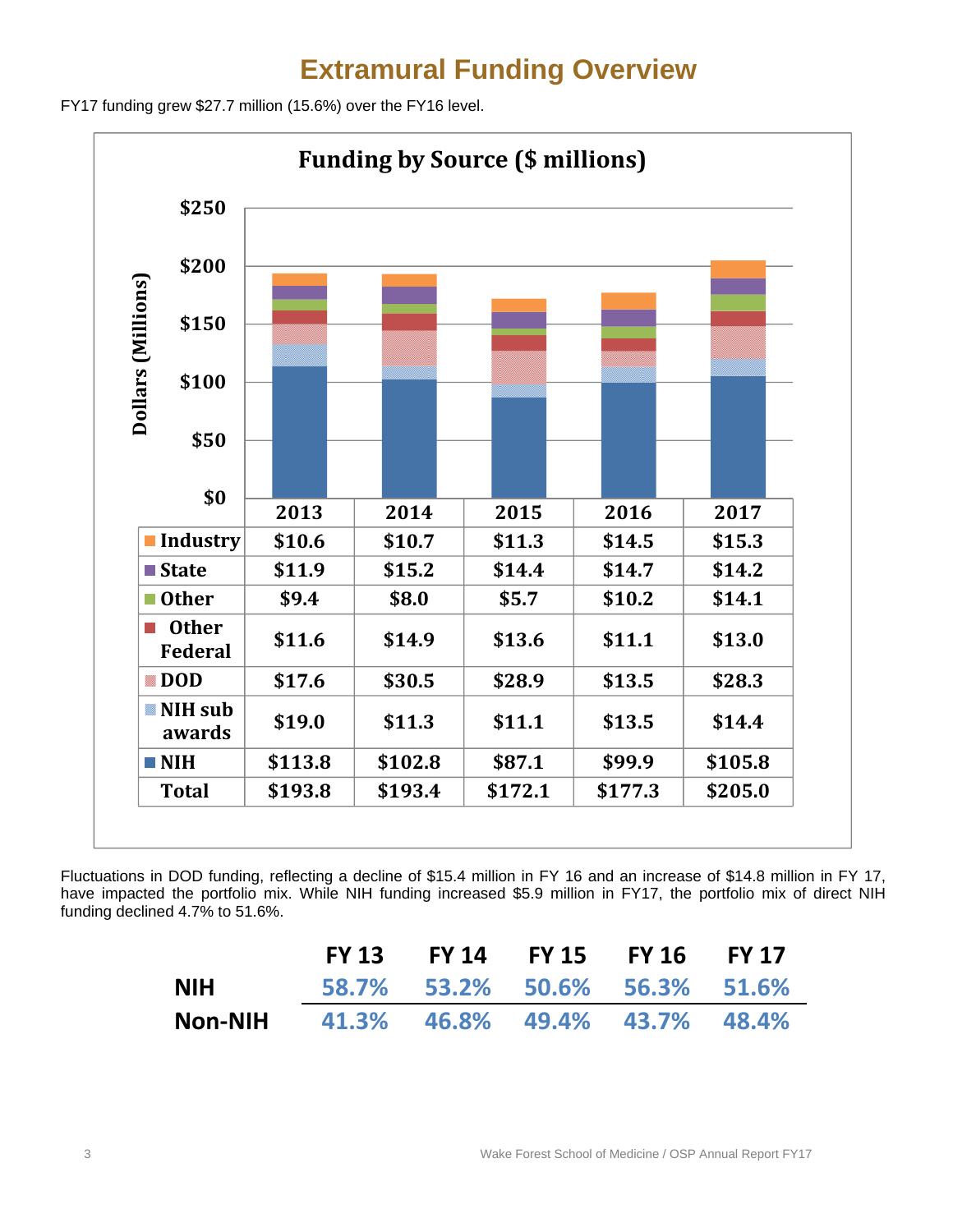### **Extramural Funding Overview**

FY17 funding grew \$27.7 million (15.6%) over the FY16 level.



Fluctuations in DOD funding, reflecting a decline of \$15.4 million in FY 16 and an increase of \$14.8 million in FY 17, have impacted the portfolio mix. While NIH funding increased \$5.9 million in FY17, the portfolio mix of direct NIH funding declined 4.7% to 51.6%.

|                                              | FY 13 FY 14 FY 15 FY 16 FY 17 |  |  |
|----------------------------------------------|-------------------------------|--|--|
| <b>NIH</b>                                   | 58.7% 53.2% 50.6% 56.3% 51.6% |  |  |
| <b>Non-NIH</b> 41.3% 46.8% 49.4% 43.7% 48.4% |                               |  |  |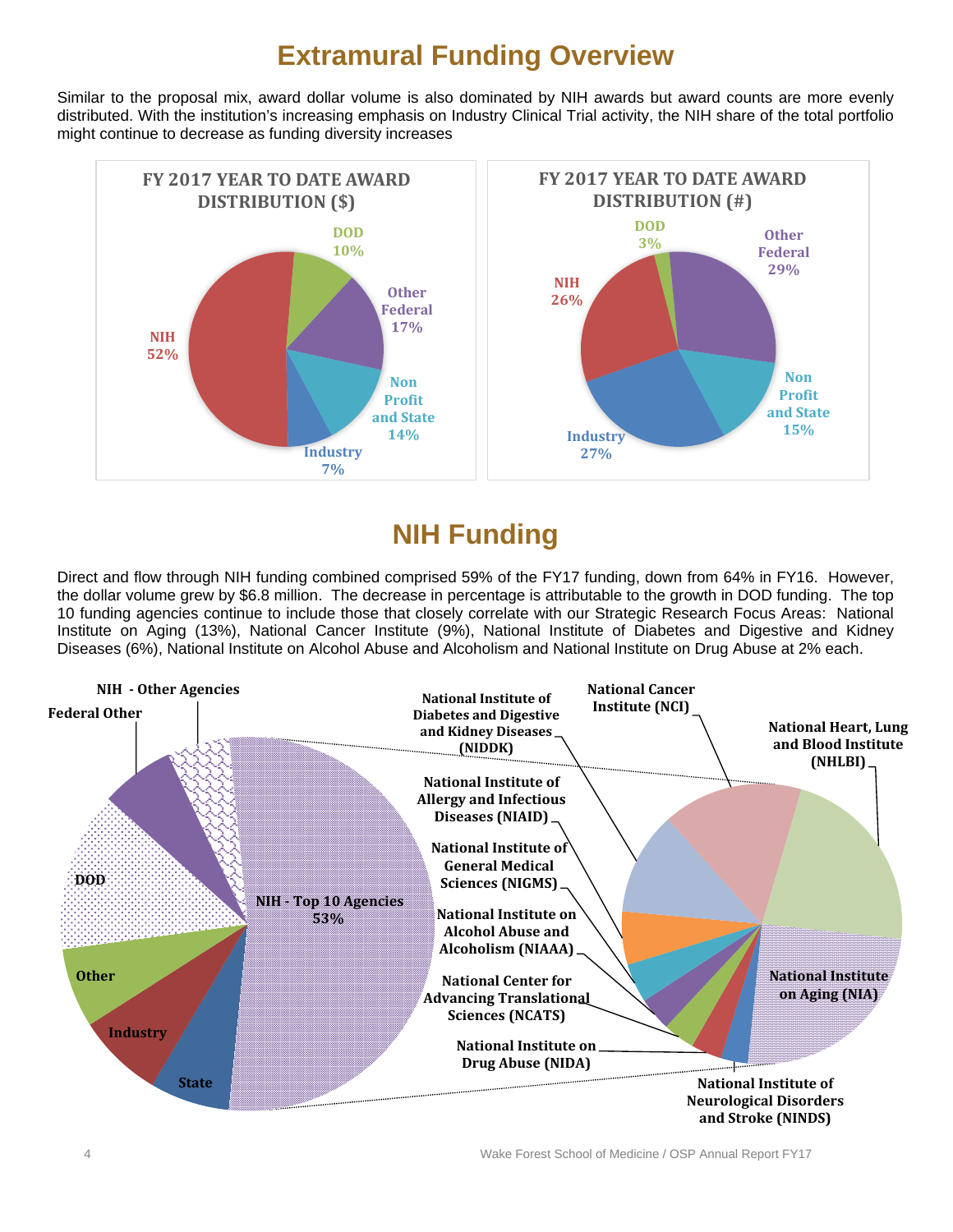### **Extramural Funding Overview**

Similar to the proposal mix, award dollar volume is also dominated by NIH awards but award counts are more evenly distributed. With the institution's increasing emphasis on Industry Clinical Trial activity, the NIH share of the total portfolio might continue to decrease as funding diversity increases



### **NIH Funding**

Direct and flow through NIH funding combined comprised 59% of the FY17 funding, down from 64% in FY16. However, the dollar volume grew by \$6.8 million. The decrease in percentage is attributable to the growth in DOD funding. The top 10 funding agencies continue to include those that closely correlate with our Strategic Research Focus Areas: National Institute on Aging (13%), National Cancer Institute (9%), National Institute of Diabetes and Digestive and Kidney Diseases (6%), National Institute on Alcohol Abuse and Alcoholism and National Institute on Drug Abuse at 2% each.

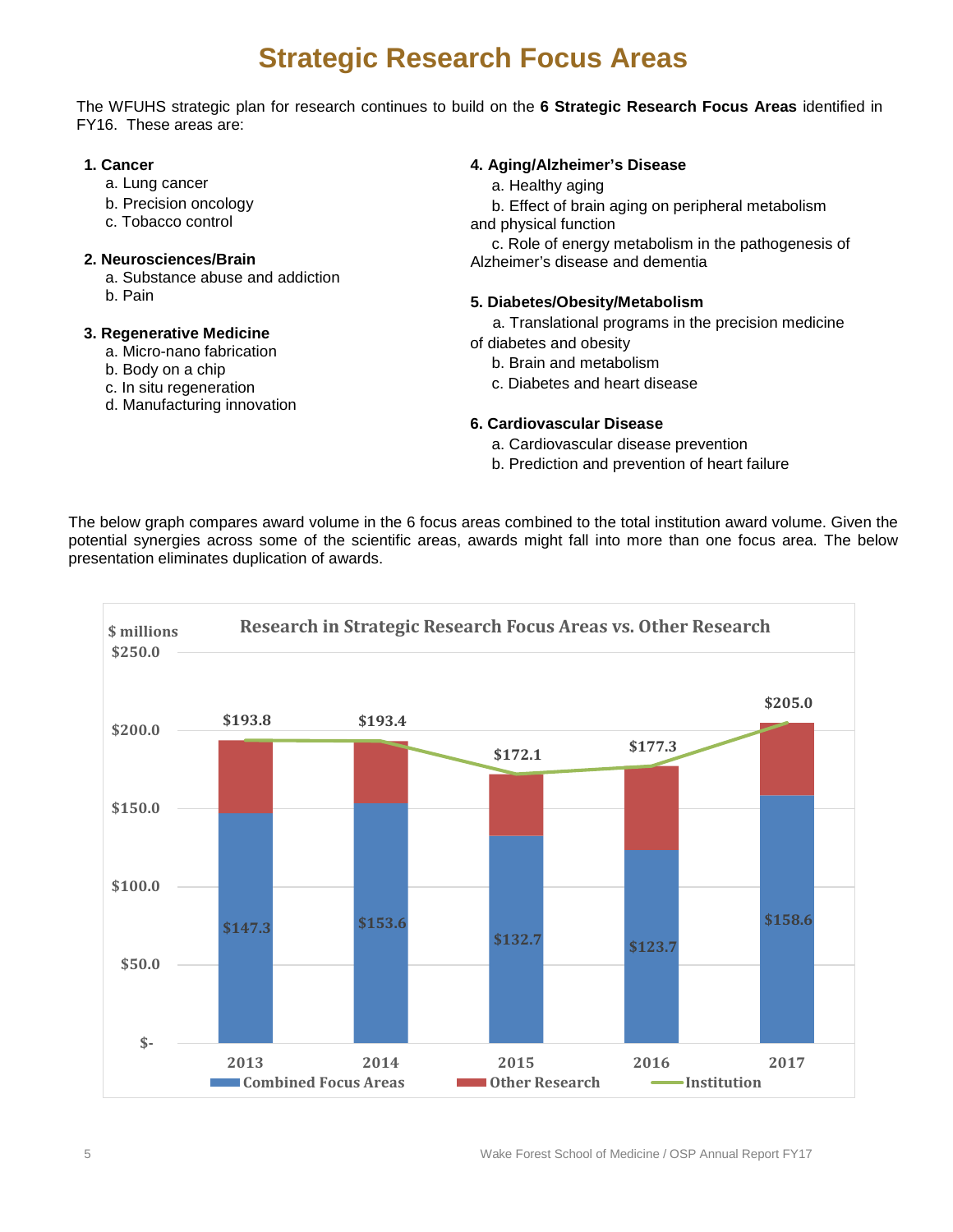### **Strategic Research Focus Areas**

The WFUHS strategic plan for research continues to build on the **6 Strategic Research Focus Areas** identified in FY16. These areas are:

#### **1. Cancer**

- a. Lung cancer
- b. Precision oncology
- c. Tobacco control

#### **2. Neurosciences/Brain**

- a. Substance abuse and addiction
- b. Pain

#### **3. Regenerative Medicine**

- a. Micro-nano fabrication
- b. Body on a chip
- c. In situ regeneration
- d. Manufacturing innovation

#### **4. Aging/Alzheimer's Disease**

a. Healthy aging

 b. Effect of brain aging on peripheral metabolism and physical function

 c. Role of energy metabolism in the pathogenesis of Alzheimer's disease and dementia

#### **5. Diabetes/Obesity/Metabolism**

- a. Translational programs in the precision medicine
- of diabetes and obesity
	- b. Brain and metabolism
	- c. Diabetes and heart disease

#### **6. Cardiovascular Disease**

- a. Cardiovascular disease prevention
- b. Prediction and prevention of heart failure

The below graph compares award volume in the 6 focus areas combined to the total institution award volume. Given the potential synergies across some of the scientific areas, awards might fall into more than one focus area. The below presentation eliminates duplication of awards.

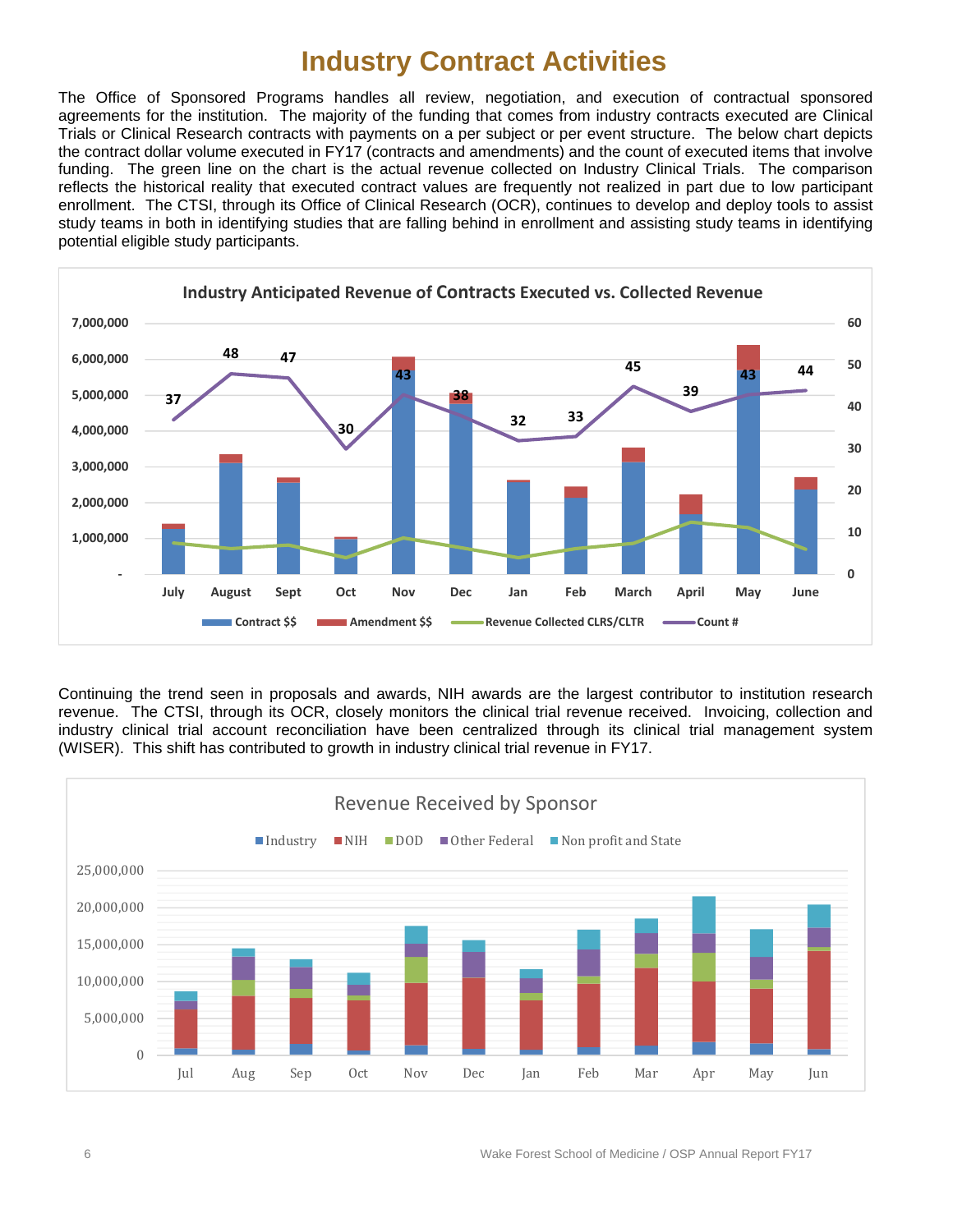### **Industry Contract Activities**

The Office of Sponsored Programs handles all review, negotiation, and execution of contractual sponsored agreements for the institution. The majority of the funding that comes from industry contracts executed are Clinical Trials or Clinical Research contracts with payments on a per subject or per event structure. The below chart depicts the contract dollar volume executed in FY17 (contracts and amendments) and the count of executed items that involve funding. The green line on the chart is the actual revenue collected on Industry Clinical Trials. The comparison reflects the historical reality that executed contract values are frequently not realized in part due to low participant enrollment. The CTSI, through its Office of Clinical Research (OCR), continues to develop and deploy tools to assist study teams in both in identifying studies that are falling behind in enrollment and assisting study teams in identifying potential eligible study participants.



Continuing the trend seen in proposals and awards, NIH awards are the largest contributor to institution research revenue. The CTSI, through its OCR, closely monitors the clinical trial revenue received. Invoicing, collection and industry clinical trial account reconciliation have been centralized through its clinical trial management system (WISER). This shift has contributed to growth in industry clinical trial revenue in FY17.

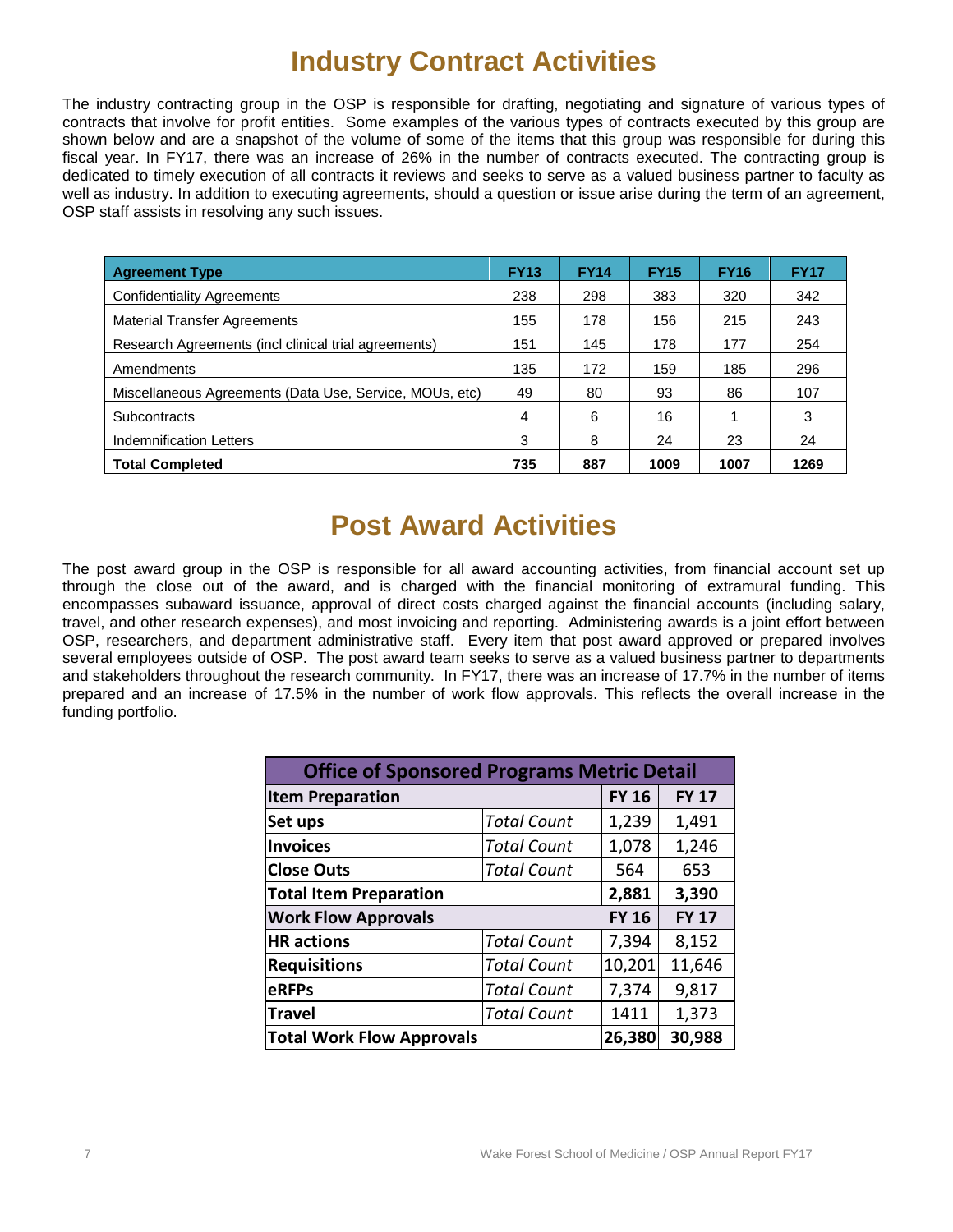### **Industry Contract Activities**

The industry contracting group in the OSP is responsible for drafting, negotiating and signature of various types of contracts that involve for profit entities. Some examples of the various types of contracts executed by this group are shown below and are a snapshot of the volume of some of the items that this group was responsible for during this fiscal year. In FY17, there was an increase of 26% in the number of contracts executed. The contracting group is dedicated to timely execution of all contracts it reviews and seeks to serve as a valued business partner to faculty as well as industry. In addition to executing agreements, should a question or issue arise during the term of an agreement, OSP staff assists in resolving any such issues.

| <b>Agreement Type</b>                                   | <b>FY13</b> | <b>FY14</b> | <b>FY15</b> | <b>FY16</b> | <b>FY17</b> |
|---------------------------------------------------------|-------------|-------------|-------------|-------------|-------------|
| <b>Confidentiality Agreements</b>                       | 238         | 298         | 383         | 320         | 342         |
| <b>Material Transfer Agreements</b>                     | 155         | 178         | 156         | 215         | 243         |
| Research Agreements (incl clinical trial agreements)    | 151         | 145         | 178         | 177         | 254         |
| Amendments                                              | 135         | 172         | 159         | 185         | 296         |
| Miscellaneous Agreements (Data Use, Service, MOUs, etc) | 49          | 80          | 93          | 86          | 107         |
| <b>Subcontracts</b>                                     | 4           | 6           | 16          |             | 3           |
| <b>Indemnification Letters</b>                          | 3           | 8           | 24          | 23          | 24          |
| <b>Total Completed</b>                                  | 735         | 887         | 1009        | 1007        | 1269        |

### **Post Award Activities**

The post award group in the OSP is responsible for all award accounting activities, from financial account set up through the close out of the award, and is charged with the financial monitoring of extramural funding. This encompasses subaward issuance, approval of direct costs charged against the financial accounts (including salary, travel, and other research expenses), and most invoicing and reporting. Administering awards is a joint effort between OSP, researchers, and department administrative staff. Every item that post award approved or prepared involves several employees outside of OSP. The post award team seeks to serve as a valued business partner to departments and stakeholders throughout the research community. In FY17, there was an increase of 17.7% in the number of items prepared and an increase of 17.5% in the number of work flow approvals. This reflects the overall increase in the funding portfolio.

| <b>Office of Sponsored Programs Metric Detail</b> |                    |              |              |  |  |
|---------------------------------------------------|--------------------|--------------|--------------|--|--|
| <b>Item Preparation</b>                           |                    | <b>FY 16</b> | <b>FY 17</b> |  |  |
| Set ups                                           | <b>Total Count</b> | 1,239        | 1,491        |  |  |
| <b>Invoices</b>                                   | <b>Total Count</b> | 1,078        | 1,246        |  |  |
| <b>Close Outs</b>                                 | <b>Total Count</b> | 564          | 653          |  |  |
| <b>Total Item Preparation</b>                     | 2,881              | 3,390        |              |  |  |
| <b>Work Flow Approvals</b>                        |                    | <b>FY 16</b> | <b>FY 17</b> |  |  |
| <b>HR</b> actions                                 | <b>Total Count</b> | 7,394        | 8,152        |  |  |
| <b>Requisitions</b>                               | <b>Total Count</b> | 10,201       | 11,646       |  |  |
| eRFPs                                             | <b>Total Count</b> | 7,374        | 9,817        |  |  |
| <b>Travel</b>                                     | <b>Total Count</b> | 1411         | 1,373        |  |  |
| <b>Total Work Flow Approvals</b>                  | 26,380             | 30,988       |              |  |  |